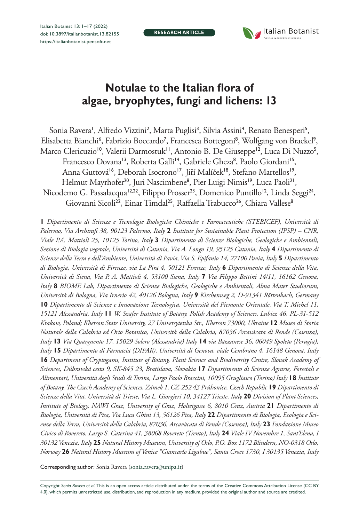**RESEARCH ARTICLE**



# **Notulae to the Italian flora of algae, bryophytes, fungi and lichens: 13**

Sonia Ravera', Alfredo Vizzini<sup>2</sup>, Marta Puglisi<sup>3</sup>, Silvia Assini<sup>4</sup>, Renato Benesperi<sup>5</sup>, Elisabetta Bianchi<sup>6</sup>, Fabrizio Boccardo<sup>7</sup>, Francesca Bottegoni<sup>8</sup>, Wolfgang von Brackel<sup>9</sup>, Marco Clericuzio<sup>10</sup>, Valerii Darmostuk'', Antonio B. De Giuseppe<sup>12</sup>, Luca Di Nuzzo<sup>5</sup>, Francesco Dovana<sup>13</sup>, Roberta Galli<sup>14</sup>, Gabriele Gheza<sup>8</sup>, Paolo Giordani<sup>15</sup>, Anna Guttová<sup>16</sup>, Deborah Isocrono<sup>17</sup>, Jiří Malíček<sup>18</sup>, Stefano Martellos<sup>19</sup>, Helmut Mayrhofer<sup>20</sup>, Juri Nascimbene<sup>8</sup>, Pier Luigi Nimis<sup>19</sup>, Luca Paoli<sup>21</sup>, Nicodemo G. Passalacqua<sup>12,22</sup>, Filippo Prosser<sup>23</sup>, Domenico Puntillo<sup>12</sup>, Linda Seggi<sup>24</sup>, Giovanni Sicoli<sup>22</sup>, Einar Timdal<sup>25</sup>, Raffaella Trabucco<sup>26</sup>, Chiara Vallese<sup>8</sup>

**1** *Dipartimento di Scienze e Tecnologie Biologiche Chimiche e Farmaceutiche (STEBICEF), Università di Palermo, Via Archirafi 38, 90123 Palermo, Italy* **2** *Institute for Sustainable Plant Protection (IPSP) – CNR, Viale P.A. Mattioli 25, 10125 Torino, Italy* **3** *Dipartimento di Scienze Biologiche, Geologiche e Ambientali, Sezione di Biologia vegetale, Università di Catania, Via A. Longo 19, 95125 Catania, Italy* **4** *Dipartimento di Scienze della Terra e dell'Ambiente, Università di Pavia, Via S. Epifanio 14, 27100 Pavia, Italy* **5** *Dipartimento di Biologia, Università di Firenze, via La Pira 4, 50121 Firenze, Italy* **6** *Dipartimento di Scienze della Vita, Università di Siena, Via P. A. Mattioli 4, 53100 Siena, Italy* **7** *Via Filippo Bettini 14/11, 16162 Genova, Italy* **8** *BIOME Lab, Dipartimento di Scienze Biologiche, Geologiche e Ambientali, Alma Mater Studiorum, Università di Bologna, Via Irnerio 42, 40126 Bologna, Italy* **9** *Kirchenweg 2, D-91341 Röttenbach, Germany*  **10** *Dipartimento di Scienze e Innovazione Tecnologica, Università del Piemonte Orientale, Via T. Michel 11, 15121 Alessandria, Italy* **11** *W. Szafer Institute of Botany, Polish Academy of Sciences, Lubicz 46, PL-31-512 Krakow, Poland; Kherson State University, 27 Universytetska Str., Kherson 73000, Ukraine* **12** *Museo di Storia Naturale della Calabria ed Orto Botanico, Università della Calabria, 87036 Arcavàcata di Rende (Cosenza), Italy* **13** *Via Quargnento 17, 15029 Solero (Alessandria) Italy* **14** *via Bazzanese 36, 06049 Spoleto (Perugia), Italy* **15** *Dipartimento di Farmacia (DIFAR), Università di Genova, viale Cembrano 4, 16148 Genova, Italy*  **16** *Department of Cryptogams, Institute of Botany, Plant Science and Biodiversity Centre, Slovak Academy of Sciences, Dúbravská cesta 9, SK-845 23, Bratislava, Slovakia* **17** *Dipartimento di Scienze Agrarie, Forestali e Alimentari, Università degli Studi di Torino, Largo Paolo Braccini, 10095 Grugliasco (Torino) Italy* **18** *Institute of Botany, The Czech Academy of Sciences, Zámek 1, CZ-252 43 Průhonice, Czech Republic* **19** *Dipartimento di Scienze della Vita, Università di Trieste, Via L. Giorgieri 10, 34127 Trieste, Italy* **20** *Division of Plant Sciences, Institute of Biology, NAWI Graz, University of Graz, Holteigasse 6, 8010 Graz, Austria* **21** *Dipartimento di Biologia, Università di Pisa, Via Luca Ghini 13, 56126 Pisa, Italy* **22** *Dipartimento di Biologia, Ecologia e Scienze della Terra, Università della Calabria, 87036, Arcavàcata di Rende (Cosenza), Italy* **23** *Fondazione Museo Civico di Rovereto, Largo S. Caterina 41, 38068 Rovereto (Trento), Italy* **24** *Viale IV Novembre 1, Sant'Elena, I 30132 Venezia, Italy* **25** *Natural History Museum, University of Oslo, P.O. Box 1172 Blindern, NO-0318 Oslo, Norway* **26** *Natural History Museum of Venice "Giancarlo Ligabue", Santa Croce 1730, I 30135 Venezia, Italy*

Corresponding author: Sonia Ravera [\(sonia.ravera@unipa.it\)](mailto:sonia.ravera@unipa.it)

Copyright *Sonia Ravera et al.* This is an open access article distributed under the terms of the [Creative Commons Attribution License \(CC BY](http://creativecommons.org/licenses/by/4.0/)  [4.0\)](http://creativecommons.org/licenses/by/4.0/), which permits unrestricted use, distribution, and reproduction in any medium, provided the original author and source are credited.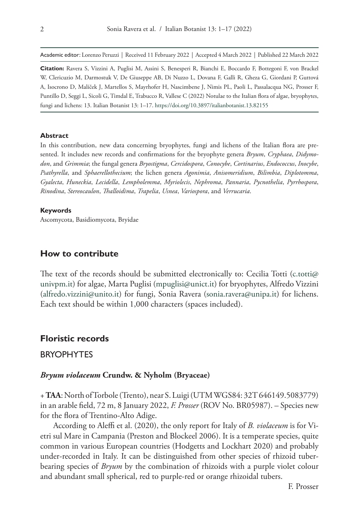Academic editor: Lorenzo Peruzzi | Received 11 February 2022 | Accepted 4 March 2022 | Published 22 March 2022

**Citation:** Ravera S, Vizzini A, Puglisi M, Assini S, Benesperi R, Bianchi E, Boccardo F, Bottegoni F, von Brackel W, Clericuzio M, Darmostuk V, De Giuseppe AB, Di Nuzzo L, Dovana F, Galli R, Gheza G, Giordani P, Guttová A, Isocrono D, Malíček J, Martellos S, Mayrhofer H, Nascimbene J, Nimis PL, Paoli L, Passalacqua NG, Prosser F, Puntillo D, Seggi L, Sicoli G, Timdal E, Trabucco R, Vallese C (2022) Notulae to the Italian flora of algae, bryophytes, fungi and lichens: 13. Italian Botanist 13: 1–17.<https://doi.org/10.3897/italianbotanist.13.82155>

#### **Abstract**

In this contribution, new data concerning bryophytes, fungi and lichens of the Italian flora are presented. It includes new records and confirmations for the bryophyte genera *Bryum*, *Cryphaea*, *Didymodon*, and *Grimmia*; the fungal genera *Bryostigma*, *Cercidospora*, *Conocybe*, *Cortinarius*, *Endococcus*, *Inocybe*, *Psathyrella*, and *Sphaerellothecium*; the lichen genera *Agonimia*, *Anisomeridium*, *Bilimbia*, *Diplotomma*, *Gyalecta*, *Huneckia*, *Lecidella*, *Lempholemma*, *Myriolecis*, *Nephroma*, *Pannaria*, *Pycnothelia*, *Pyrrhospora*, *Rinodina*, *Stereocaulon*, *Thalloidima*, *Trapelia*, *Usnea*, *Variospora*, and *Verrucaria*.

#### **Keywords**

Ascomycota, Basidiomycota, Bryidae

# **How to contribute**

The text of the records should be submitted electronically to: Cecilia Totti [\(c.totti@](mailto:c.totti@univpm.it) [univpm.it\)](mailto:c.totti@univpm.it) for algae, Marta Puglisi [\(mpuglisi@unict.it](mailto:mpuglisi@unict.it)) for bryophytes, Alfredo Vizzini ([alfredo.vizzini@unito.it](mailto:alfredo.vizzini@unito.it)) for fungi, Sonia Ravera [\(sonia.ravera@unipa.it\)](mailto:sonia.ravera@unipa.it) for lichens. Each text should be within 1,000 characters (spaces included).

# **Floristic records**

# BRYOPHYTES

## *Bryum violaceum* **Crundw. & Nyholm (Bryaceae)**

+ **TAA**: North of Torbole (Trento), near S. Luigi (UTM WGS84: 32T 646149.5083779) in an arable field, 72 m, 8 January 2022, *F. Prosser* (ROV No. BR05987). – Species new for the flora of Trentino-Alto Adige.

According to Aleffi et al. (2020), the only report for Italy of *B. violaceum* is for Vietri sul Mare in Campania (Preston and Blockeel 2006). It is a temperate species, quite common in various European countries (Hodgetts and Lockhart 2020) and probably under-recorded in Italy. It can be distinguished from other species of rhizoid tuberbearing species of *Bryum* by the combination of rhizoids with a purple violet colour and abundant small spherical, red to purple-red or orange rhizoidal tubers.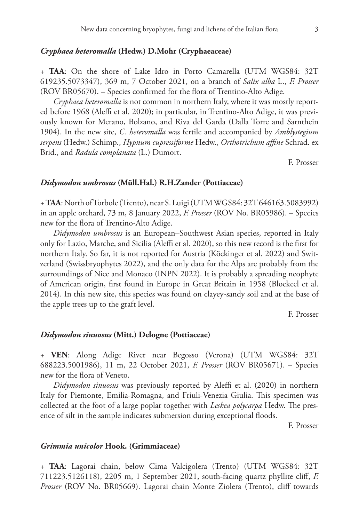#### *Cryphaea heteromalla* **(Hedw.) D.Mohr (Cryphaeaceae)**

+ **TAA**: On the shore of Lake Idro in Porto Camarella (UTM WGS84: 32T 619235.5073347), 369 m, 7 October 2021, on a branch of *Salix alba* L., *F. Prosser* (ROV BR05670). – Species confirmed for the flora of Trentino-Alto Adige.

*Cryphaea heteromalla* is not common in northern Italy, where it was mostly reported before 1968 (Aleffi et al. 2020); in particular, in Trentino-Alto Adige, it was previously known for Merano, Bolzano, and Riva del Garda (Dalla Torre and Sarnthein 1904). In the new site, *C. heteromalla* was fertile and accompanied by *Amblystegium serpens* (Hedw.) Schimp., *Hypnum cupressiforme* Hedw., *Orthotrichum affine* Schrad. ex Brid., and *Radula complanata* (L.) Dumort.

F. Prosser

#### *Didymodon umbrosus* **(Müll.Hal.) R.H.Zander (Pottiaceae)**

+ **TAA**: North of Torbole (Trento), near S. Luigi (UTM WGS84: 32T 646163.5083992) in an apple orchard, 73 m, 8 January 2022, *F. Prosser* (ROV No. BR05986). – Species new for the flora of Trentino-Alto Adige.

*Didymodon umbrosus* is an European–Southwest Asian species, reported in Italy only for Lazio, Marche, and Sicilia (Aleffi et al. 2020), so this new record is the first for northern Italy. So far, it is not reported for Austria (Köckinger et al. 2022) and Switzerland (Swissbryophytes 2022), and the only data for the Alps are probably from the surroundings of Nice and Monaco (INPN 2022). It is probably a spreading neophyte of American origin, first found in Europe in Great Britain in 1958 (Blockeel et al. 2014). In this new site, this species was found on clayey-sandy soil and at the base of the apple trees up to the graft level.

F. Prosser

## *Didymodon sinuosus* **(Mitt.) Delogne (Pottiaceae)**

+ **VEN**: Along Adige River near Begosso (Verona) (UTM WGS84: 32T 688223.5001986), 11 m, 22 October 2021, *F. Prosser* (ROV BR05671). – Species new for the flora of Veneto.

*Didymodon sinuosus* was previously reported by Aleffi et al. (2020) in northern Italy for Piemonte, Emilia-Romagna, and Friuli-Venezia Giulia. This specimen was collected at the foot of a large poplar together with *Leskea polycarpa* Hedw. The presence of silt in the sample indicates submersion during exceptional floods.

F. Prosser

#### *Grimmia unicolor* **Hook. (Grimmiaceae)**

+ **TAA**: Lagorai chain, below Cima Valcigolera (Trento) (UTM WGS84: 32T 711223.5126118), 2205 m, 1 September 2021, south-facing quartz phyllite cliff, *F. Prosser* (ROV No. BR05669). Lagorai chain Monte Ziolera (Trento), cliff towards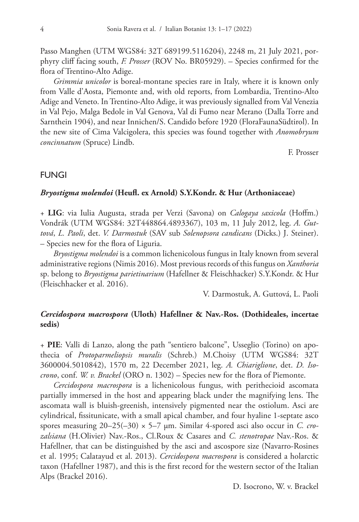Passo Manghen (UTM WGS84: 32T 689199.5116204), 2248 m, 21 July 2021, porphyry cliff facing south, *F. Prosser* (ROV No. BR05929). – Species confirmed for the flora of Trentino-Alto Adige.

*Grimmia unicolor* is boreal-montane species rare in Italy, where it is known only from Valle d'Aosta, Piemonte and, with old reports, from Lombardia, Trentino-Alto Adige and Veneto. In Trentino-Alto Adige, it was previously signalled from Val Venezia in Val Pejo, Malga Bedole in Val Genova, Val di Fumo near Merano (Dalla Torre and Sarnthein 1904), and near Innichen/S. Candido before 1920 (FloraFaunaSüdtirol). In the new site of Cima Valcigolera, this species was found together with *Anomobryum concinnatum* (Spruce) Lindb.

F. Prosser

# FUNGI

#### *Bryostigma molendoi* **(Heufl. ex Arnold) S.Y.Kondr. & Hur (Arthoniaceae)**

+ **LIG**: via Iulia Augusta, strada per Verzi (Savona) on *Calogaya saxicola* (Hoffm.) Vondrák (UTM WGS84: 32T448864.4893367), 103 m, 11 July 2012, leg. *A. Guttová*, *L. Paoli*, det. *V. Darmostuk* (SAV sub *Solenopsora candicans* (Dicks.) J. Steiner). – Species new for the flora of Liguria.

*Bryostigma molendoi* is a common lichenicolous fungus in Italy known from several administrative regions (Nimis 2016). Most previous records of this fungus on *Xanthoria* sp. belong to *Bryostigma parietinarium* (Hafellner & Fleischhacker) S.Y.Kondr. & Hur (Fleischhacker et al. 2016).

V. Darmostuk, A. Guttová, L. Paoli

# *Cercidospora macrospora* **(Uloth) Hafellner & Nav.-Ros. (Dothideales, incertae sedis)**

+ **PIE**: Valli di Lanzo, along the path "sentiero balcone", Usseglio (Torino) on apothecia of *Protoparmeliopsis muralis* (Schreb.) M.Choisy (UTM WGS84: 32T 3600004.5010842), 1570 m, 22 December 2021, leg. *A. Chiariglione*, det. *D. Isocrono*, conf. *W. v. Brackel* (ORO n. 1302) – Species new for the flora of Piemonte.

*Cercidospora macrospora* is a lichenicolous fungus, with perithecioid ascomata partially immersed in the host and appearing black under the magnifying lens. The ascomata wall is bluish-greenish, intensively pigmented near the ostiolum. Asci are cylindrical, fissitunicate, with a small apical chamber, and four hyaline 1-septate asco spores measuring 20–25(–30) × 5–7 μm. Similar 4-spored asci also occur in *C. crozalsiana* (H.Olivier) Nav.-Ros., Cl.Roux & Casares and *C. stenotropae* Nav.-Ros. & Hafellner, that can be distinguished by the asci and ascospore size (Navarro-Rosines et al. 1995; Calatayud et al. 2013). *Cercidospora macrospora* is considered a holarctic taxon (Hafellner 1987), and this is the first record for the western sector of the Italian Alps (Brackel 2016).

D. Isocrono, W. v. Brackel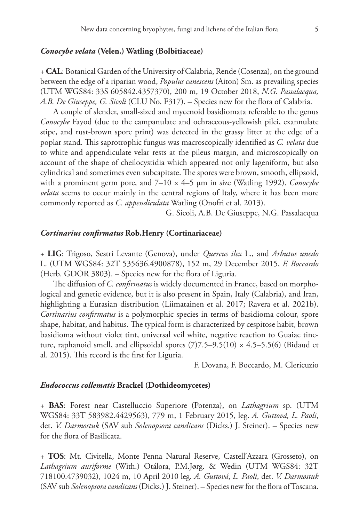#### *Conocybe velata* **(Velen.) Watling (Bolbitiaceae)**

+ **CAL**: Botanical Garden of the University of Calabria, Rende (Cosenza), on the ground between the edge of a riparian wood, *Populus canescens* (Aiton) Sm. as prevailing species (UTM WGS84: 33S 605842.4357370), 200 m, 19 October 2018, *N.G. Passalacqua, A.B. De Giuseppe, G. Sicoli* (CLU No. F317). – Species new for the flora of Calabria.

A couple of slender, small-sized and mycenoid basidiomata referable to the genus *Conocybe* Fayod (due to the campanulate and ochraceous-yellowish pilei, exannulate stipe, and rust-brown spore print) was detected in the grassy litter at the edge of a poplar stand. This saprotrophic fungus was macroscopically identified as *C. velata* due to white and appendiculate velar rests at the pileus margin, and microscopically on account of the shape of cheilocystidia which appeared not only lageniform, but also cylindrical and sometimes even subcapitate. The spores were brown, smooth, ellipsoid, with a prominent germ pore, and 7–10 × 4–5 µm in size (Watling 1992). *Conocybe velata* seems to occur mainly in the central regions of Italy, where it has been more commonly reported as *C. appendiculata* Watling (Onofri et al. 2013).

G. Sicoli, A.B. De Giuseppe, N.G. Passalacqua

#### *Cortinarius confirmatus* **Rob.Henry (Cortinariaceae)**

+ **LIG**: Trigoso, Sestri Levante (Genova), under *Quercus ilex* L., and *Arbutus unedo* L. (UTM WGS84: 32T 535636.4900878), 152 m, 29 December 2015, *F. Boccardo*  (Herb. GDOR 3803). – Species new for the flora of Liguria.

The diffusion of *C. confirmatus* is widely documented in France, based on morphological and genetic evidence, but it is also present in Spain, Italy (Calabria), and Iran, highlighting a Eurasian distribution (Liimatainen et al. 2017; Ravera et al. 2021b). *Cortinarius confirmatus* is a polymorphic species in terms of basidioma colour, spore shape, habitat, and habitus. The typical form is characterized by cespitose habit, brown basidioma without violet tint, universal veil white, negative reaction to Guaiac tincture, raphanoid smell, and ellipsoidal spores  $(7)7.5-9.5(10) \times 4.5-5.5(6)$  (Bidaud et al. 2015). This record is the first for Liguria.

F. Dovana, F. Boccardo, M. Clericuzio

#### *Endococcus collematis* **Brackel (Dothideomycetes)**

+ **BAS**: Forest near Castelluccio Superiore (Potenza), on *Lathagrium* sp. (UTM WGS84: 33T 583982.4429563), 779 m, 1 February 2015, leg. *A. Guttová, L. Paoli*, det. *V. Darmostuk* (SAV sub *Solenopsora candicans* (Dicks.) J. Steiner). – Species new for the flora of Basilicata.

+ **TOS**: Mt. Civitella, Monte Penna Natural Reserve, Castell'Azzara (Grosseto), on *Lathagrium auriforme* (With.) Otálora, P.M.Jørg. & Wedin (UTM WGS84: 32T 718100.4739032), 1024 m, 10 April 2010 leg. *A. Guttová*, *L. Paoli*, det. *V. Darmostuk* (SAV sub *Solenopsora candicans* (Dicks.) J. Steiner). – Species new for the flora of Toscana.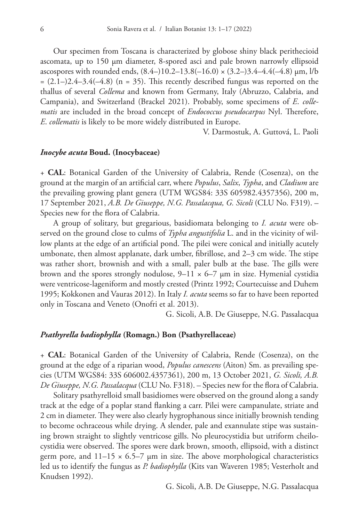Our specimen from Toscana is characterized by globose shiny black perithecioid ascomata, up to 150 μm diameter, 8-spored asci and pale brown narrowly ellipsoid ascospores with rounded ends,  $(8.4-)10.2-13.8(-16.0) \times (3.2-)3.4-4.4(-4.8) \mu m$ , l/b  $=(2.1-)2.4-3.4(-4.8)$  (n = 35). This recently described fungus was reported on the thallus of several *Collema* and known from Germany, Italy (Abruzzo, Calabria, and Campania), and Switzerland (Brackel 2021). Probably, some specimens of *E*. *collematis* are included in the broad concept of *Endococcus pseudocarpus* Nyl. Therefore, *E*. *collematis* is likely to be more widely distributed in Europe.

V. Darmostuk, A. Guttová, L. Paoli

#### *Inocybe acuta* **Boud. (Inocybaceae)**

+ **CAL**: Botanical Garden of the University of Calabria, Rende (Cosenza), on the ground at the margin of an artificial carr, where *Populus*, *Salix*, *Typha*, and *Cladium* are the prevailing growing plant genera (UTM WGS84: 33S 605982.4357356), 200 m, 17 September 2021, *A.B. De Giuseppe, N.G. Passalacqua, G. Sicoli* (CLU No. F319). – Species new for the flora of Calabria.

A group of solitary, but gregarious, basidiomata belonging to *I. acuta* were observed on the ground close to culms of *Typha angustifolia* L. and in the vicinity of willow plants at the edge of an artificial pond. The pilei were conical and initially acutely umbonate, then almost applanate, dark umber, fibrillose, and 2–3 cm wide. The stipe was rather short, brownish and with a small, paler bulb at the base. The gills were brown and the spores strongly nodulose,  $9-11 \times 6-7$  µm in size. Hymenial cystidia were ventricose-lageniform and mostly crested (Printz 1992; Courtecuisse and Duhem 1995; Kokkonen and Vauras 2012). In Italy *I. acuta* seems so far to have been reported only in Toscana and Veneto (Onofri et al. 2013).

G. Sicoli, A.B. De Giuseppe, N.G. Passalacqua

#### *Psathyrella badiophylla* **(Romagn.) Bon (Psathyrellaceae)**

+ **CAL**: Botanical Garden of the University of Calabria, Rende (Cosenza), on the ground at the edge of a riparian wood, *Populus canescens* (Aiton) Sm. as prevailing species (UTM WGS84: 33S 606002.4357361), 200 m, 13 October 2021, *G. Sicoli, A.B. De Giuseppe, N.G. Passalacqua* (CLU No. F318). – Species new for the flora of Calabria.

Solitary psathyrelloid small basidiomes were observed on the ground along a sandy track at the edge of a poplar stand flanking a carr. Pilei were campanulate, striate and 2 cm in diameter. They were also clearly hygrophanous since initially brownish tending to become ochraceous while drying. A slender, pale and exannulate stipe was sustaining brown straight to slightly ventricose gills. No pleurocystidia but utriform cheilocystidia were observed. The spores were dark brown, smooth, ellipsoid, with a distinct germ pore, and  $11-15 \times 6.5-7$  µm in size. The above morphological characteristics led us to identify the fungus as *P. badiophylla* (Kits van Waveren 1985; Vesterholt and Knudsen 1992).

G. Sicoli, A.B. De Giuseppe, N.G. Passalacqua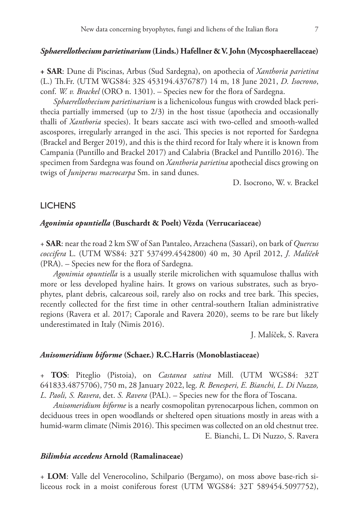#### *Sphaerellothecium parietinarium* **(Linds.) Hafellner & V. John (Mycosphaerellaceae)**

**+ SAR**: Dune di Piscinas, Arbus (Sud Sardegna), on apothecia of *Xanthoria parietina* (L.) Th.Fr. (UTM WGS84: 32S 453194.4376787) 14 m, 18 June 2021, *D. Isocrono*, conf. *W. v. Brackel* (ORO n. 1301). – Species new for the flora of Sardegna.

*Sphaerellothecium parietinarium* is a lichenicolous fungus with crowded black perithecia partially immersed (up to 2/3) in the host tissue (apothecia and occasionally thalli of *Xanthoria* species). It bears saccate asci with two-celled and smooth-walled ascospores, irregularly arranged in the asci. This species is not reported for Sardegna (Brackel and Berger 2019), and this is the third record for Italy where it is known from Campania (Puntillo and Brackel 2017) and Calabria (Brackel and Puntillo 2016). The specimen from Sardegna was found on *Xanthoria parietina* apothecial discs growing on twigs of *Juniperus macrocarpa* Sm. in sand dunes.

D. Isocrono, W. v. Brackel

## **LICHENS**

#### *Agonimia opuntiella* **(Buschardt & Poelt) Vězda (Verrucariaceae)**

+ **SAR**: near the road 2 km SW of San Pantaleo, Arzachena (Sassari), on bark of *Quercus coccifera* L. (UTM WS84: 32T 537499.4542800) 40 m, 30 April 2012, *J. Malíček* (PRA). – Species new for the flora of Sardegna.

*Agonimia opuntiella* is a usually sterile microlichen with squamulose thallus with more or less developed hyaline hairs. It grows on various substrates, such as bryophytes, plant debris, calcareous soil, rarely also on rocks and tree bark. This species, recently collected for the first time in other central-southern Italian administrative regions (Ravera et al. 2017; Caporale and Ravera 2020), seems to be rare but likely underestimated in Italy (Nimis 2016).

J. Malíček, S. Ravera

#### *Anisomeridium biforme* **(Schaer.) R.C.Harris (Monoblastiaceae)**

+ **TOS**: Piteglio (Pistoia), on *Castanea sativa* Mill. (UTM WGS84: 32T 641833.4875706), 750 m, 28 January 2022, leg. *R. Benesperi, E. Bianchi, L. Di Nuzzo, L. Paoli, S. Ravera*, det. *S. Ravera* (PAL). – Species new for the flora of Toscana.

*Anisomeridium biforme* is a nearly cosmopolitan pyrenocarpous lichen, common on deciduous trees in open woodlands or sheltered open situations mostly in areas with a humid-warm climate (Nimis 2016). This specimen was collected on an old chestnut tree. E. Bianchi, L. Di Nuzzo, S. Ravera

#### *Bilimbia accedens* **Arnold (Ramalinaceae)**

+ **LOM**: Valle del Venerocolino, Schilpario (Bergamo), on moss above base-rich siliceous rock in a moist coniferous forest (UTM WGS84: 32T 589454.5097752),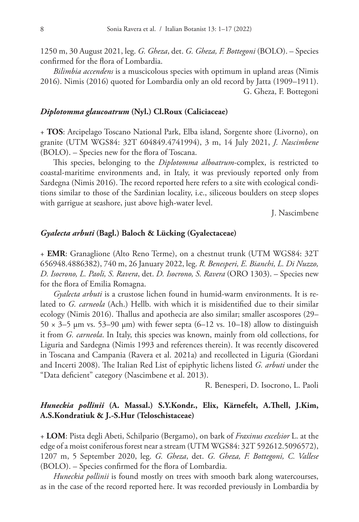1250 m, 30 August 2021, leg. *G. Gheza*, det. *G. Gheza, F. Bottegoni* (BOLO). – Species confirmed for the flora of Lombardia.

*Bilimbia accendens* is a muscicolous species with optimum in upland areas (Nimis 2016). Nimis (2016) quoted for Lombardia only an old record by Jatta (1909–1911). G. Gheza, F. Bottegoni

#### *Diplotomma glaucoatrum* **(Nyl.) Cl.Roux (Caliciaceae)**

+ **TOS**: Arcipelago Toscano National Park, Elba island, Sorgente shore (Livorno), on granite (UTM WGS84: 32T 604849.4741994), 3 m, 14 July 2021, *J. Nascimbene* (BOLO). – Species new for the flora of Toscana.

This species, belonging to the *Diplotomma alboatrum*-complex, is restricted to coastal-maritime environments and, in Italy, it was previously reported only from Sardegna (Nimis 2016). The record reported here refers to a site with ecological conditions similar to those of the Sardinian locality, i.e., siliceous boulders on steep slopes with garrigue at seashore, just above high-water level.

J. Nascimbene

### *Gyalecta arbuti* **(Bagl.) Baloch & Lücking (Gyalectaceae)**

+ **EMR**: Granaglione (Alto Reno Terme), on a chestnut trunk (UTM WGS84: 32T 656948.4886382), 740 m, 26 January 2022, leg. *R. Benesperi, E. Bianchi, L. Di Nuzzo, D. Isocrono, L. Paoli, S. Ravera*, det. *D. Isocrono, S. Ravera* (ORO 1303). – Species new for the flora of Emilia Romagna.

*Gyalecta arbuti* is a crustose lichen found in humid-warm environments. It is related to *G. carneola* (Ach.) Hellb. with which it is misidentified due to their similar ecology (Nimis 2016). Thallus and apothecia are also similar; smaller ascospores (29– 50  $\times$  3–5 µm vs. 53–90 µm) with fewer septa (6–12 vs. 10–18) allow to distinguish it from *G. carneola*. In Italy, this species was known, mainly from old collections, for Liguria and Sardegna (Nimis 1993 and references therein). It was recently discovered in Toscana and Campania (Ravera et al. 2021a) and recollected in Liguria (Giordani and Incerti 2008). The Italian Red List of epiphytic lichens listed *G. arbuti* under the "Data deficient" category (Nascimbene et al. 2013).

R. Benesperi, D. Isocrono, L. Paoli

# *Huneckia pollinii* **(A. Massal.) S.Y.Kondr., Elix, Kärnefelt, A.Thell, J.Kim, A.S.Kondratiuk & J.-S.Hur (Teloschistaceae)**

+ **LOM**: Pista degli Abeti, Schilpario (Bergamo), on bark of *Fraxinus excelsior* L. at the edge of a moist coniferous forest near a stream (UTM WGS84: 32T 592612.5096572), 1207 m, 5 September 2020, leg. *G. Gheza*, det. *G. Gheza, F. Bottegoni, C. Vallese* (BOLO). – Species confirmed for the flora of Lombardia.

*Huneckia pollinii* is found mostly on trees with smooth bark along watercourses, as in the case of the record reported here. It was recorded previously in Lombardia by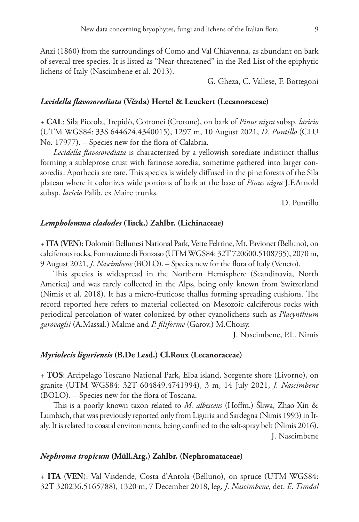Anzi (1860) from the surroundings of Como and Val Chiavenna, as abundant on bark of several tree species. It is listed as "Near-threatened" in the Red List of the epiphytic lichens of Italy (Nascimbene et al. 2013).

G. Gheza, C. Vallese, F. Bottegoni

#### *Lecidella flavosorediata* **(Vězda) Hertel & Leuckert (Lecanoraceae)**

+ **CAL**: Sila Piccola, Trepidò, Cotronei (Crotone), on bark of *Pinus nigra* subsp. *laricio* (UTM WGS84: 33S 644624.4340015), 1297 m, 10 August 2021, *D. Puntillo* (CLU No. 17977). – Species new for the flora of Calabria.

*Lecidella flavosorediata* is characterized by a yellowish sorediate indistinct thallus forming a subleprose crust with farinose soredia, sometime gathered into larger consoredia. Apothecia are rare. This species is widely diffused in the pine forests of the Sila plateau where it colonizes wide portions of bark at the base of *Pinus nigra* J.F.Arnold subsp. *laricio* Palib. ex Maire trunks.

D. Puntillo

#### *Lempholemma cladodes* **(Tuck.) Zahlbr. (Lichinaceae)**

+ **ITA** (**VEN**): Dolomiti Bellunesi National Park, Vette Feltrine, Mt. Pavionet (Belluno), on calciferous rocks, Formazione di Fonzaso (UTM WGS84: 32T 720600.5108735), 2070 m, 9 August 2021, *J. Nascimbene* (BOLO). – Species new for the flora of Italy (Veneto).

This species is widespread in the Northern Hemisphere (Scandinavia, North America) and was rarely collected in the Alps, being only known from Switzerland (Nimis et al. 2018). It has a micro-fruticose thallus forming spreading cushions. The record reported here refers to material collected on Mesozoic calciferous rocks with periodical percolation of water colonized by other cyanolichens such as *Placynthium garovaglii* (A.Massal.) Malme and *P. filiforme* (Garov.) M.Choisy.

J. Nascimbene, P.L. Nimis

#### *Myriolecis liguriensis* **(B.De Lesd.) Cl.Roux (Lecanoraceae)**

+ **TOS**: Arcipelago Toscano National Park, Elba island, Sorgente shore (Livorno), on granite (UTM WGS84: 32T 604849.4741994), 3 m, 14 July 2021, *J. Nascimbene* (BOLO). – Species new for the flora of Toscana.

This is a poorly known taxon related to *M. albescens* (Hoffm.) Śliwa, Zhao Xin & Lumbsch, that was previously reported only from Liguria and Sardegna (Nimis 1993) in Italy. It is related to coastal environments, being confined to the salt-spray belt (Nimis 2016). J. Nascimbene

## *Nephroma tropicum* **(Müll.Arg.) Zahlbr. (Nephromataceae)**

+ **ITA** (**VEN**): Val Visdende, Costa d'Antola (Belluno), on spruce (UTM WGS84: 32T 320236.5165788), 1320 m, 7 December 2018, leg. *J. Nascimbene*, det. *E. Timdal*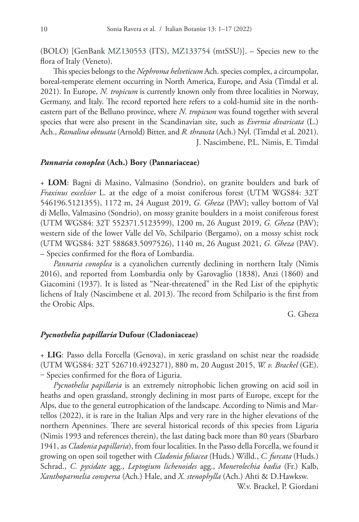(BOLO) [GenBank [MZ130553](http://www.ncbi.nlm.nih.gov/nuccore/MZ130553) (ITS), [MZ133754](http://www.ncbi.nlm.nih.gov/nuccore/MZ133754) (mtSSU)]. – Species new to the flora of Italy (Veneto).

This species belongs to the *Nephroma helveticum* Ach. species complex, a circumpolar, boreal-temperate element occurring in North America, Europe, and Asia (Timdal et al. 2021). In Europe, *N. tropicum* is currently known only from three localities in Norway, Germany, and Italy. The record reported here refers to a cold-humid site in the northeastern part of the Belluno province, where *N. tropicum* was found together with several species that were also present in the Scandinavian site, such as *Evernia divaricata* (L.) Ach., *Ramalina obtusata* (Arnold) Bitter, and *R. thrausta* (Ach.) Nyl. (Timdal et al. 2021). J. Nascimbene, P.L. Nimis, E. Timdal

#### *Pannaria conoplea* **(Ach.) Bory (Pannariaceae)**

+ **LOM**: Bagni di Masino, Valmasino (Sondrio), on granite boulders and bark of *Fraxinus excelsior* L. at the edge of a moist coniferous forest (UTM WGS84: 32T 546196.5121355), 1172 m, 24 August 2019, *G. Gheza* (PAV); valley bottom of Val di Mello, Valmasino (Sondrio), on mossy granite boulders in a moist coniferous forest (UTM WGS84: 32T 552371.5123599), 1200 m, 26 August 2019, *G. Gheza* (PAV); western side of the lower Valle del Vò, Schilpario (Bergamo), on a mossy schist rock (UTM WGS84: 32T 588683.5097526), 1140 m, 26 August 2021, *G. Gheza* (PAV). – Species confirmed for the flora of Lombardia.

*Pannaria conoplea* is a cyanolichen currently declining in northern Italy (Nimis 2016), and reported from Lombardia only by Garovaglio (1838), Anzi (1860) and Giacomini (1937). It is listed as "Near-threatened" in the Red List of the epiphytic lichens of Italy (Nascimbene et al. 2013). The record from Schilpario is the first from the Orobic Alps.

G. Gheza

#### *Pycnothelia papillaria* **Dufour (Cladoniaceae)**

+ **LIG**: Passo della Forcella (Genova), in xeric grassland on schist near the roadside (UTM WGS84: 32T 526710.4923271), 880 m, 20 August 2015, *W. v. Brackel* (GE). ‒ Species confirmed for the flora of Liguria.

*Pycnothelia papillaria* is an extremely nitrophobic lichen growing on acid soil in heaths and open grassland, strongly declining in most parts of Europe, except for the Alps, due to the general eutrophication of the landscape. According to Nimis and Martellos (2022), it is rare in the Italian Alps and very rare in the higher elevations of the northern Apennines. There are several historical records of this species from Liguria (Nimis 1993 and references therein), the last dating back more than 80 years (Sbarbaro 1941, as *Cladonia papillaria*), from four localities. In the Passo della Forcella, we found it growing on open soil together with *Cladonia foliacea* (Huds.) Willd., *C. furcata* (Huds.) Schrad., *C. pyxidate* agg., *Leptogium lichenoides* agg., *Monerolechia badia* (Fr.) Kalb, *Xanthoparmelia conspersa* (Ach.) Hale, and *X. stenophylla* (Ach.) Ahti & D.Hawksw.

W.v. Brackel, P. Giordani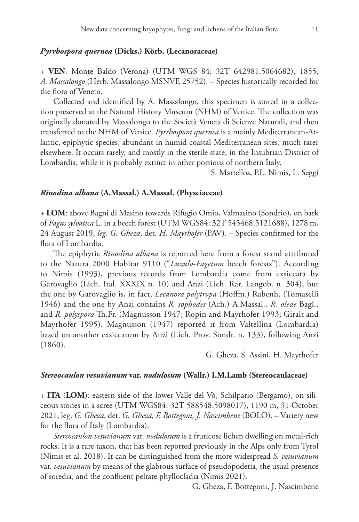#### *Pyrrhospora quernea* **(Dicks.) Körb. (Lecanoraceae)**

+ **VEN**: Monte Baldo (Verona) (UTM WGS 84: 32T 642981.5064682), 1855, *A. Massalongo* (Herb. Massalongo MSNVE 25752). – Species historically recorded for the flora of Veneto.

Collected and identified by A. Massalongo, this specimen is stored in a collection preserved at the Natural History Museum (NHM) of Venice. The collection was originally donated by Massalongo to the Società Veneta di Scienze Naturali, and then transferred to the NHM of Venice. *Pyrrhospora quernea* is a mainly Mediterranean-Atlantic, epiphytic species, abundant in humid coastal-Mediterranean sites, much rarer elsewhere. It occurs rarely, and mostly in the sterile state, in the Insubrian District of Lombardia, while it is probably extinct in other portions of northern Italy.

S. Martellos, P.L. Nimis, L. Seggi

#### *Rinodina albana* **(A.Massal.) A.Massal. (Physciaceae)**

+ **LOM**: above Bagni di Masino towards Rifugio Omio, Valmasino (Sondrio), on bark of *Fagus sylvatica* L. in a beech forest (UTM WGS84: 32T 545468.5121688), 1278 m, 24 August 2019, *leg. G. Gheza*, det. *H. Mayrhofer* (PAV). – Species confirmed for the flora of Lombardia.

The epiphytic *Rinodina albana* is reported here from a forest stand attributed to the Natura 2000 Habitat 9110 ("*Luzulo-Fagetum* beech forests"). According to Nimis (1993), previous records from Lombardia come from exsiccata by Garovaglio (Lich. Ital. XXXIX n. 10) and Anzi (Lich. Rar. Langob. n. 304), but the one by Garovaglio is, in fact, *Lecanora polytropa* (Hoffm.) Rabenh. (Tomaselli 1946) and the one by Anzi contains *R. sophodes* (Ach.) A.Massal., *R. oleae* Bagl., and *R. polyspora* Th.Fr. (Magnusson 1947; Ropin and Mayrhofer 1993; Giralt and Mayrhofer 1995). Magnusson (1947) reported it from Valtellina (Lombardia) based on another exsiccatum by Anzi (Lich. Prov. Sondr. n. 133), following Anzi (1860).

G. Gheza, S. Assini, H. Mayrhofer

# *Stereocaulon vesuvianum* **var.** *nodulosum* **(Wallr.) I.M.Lamb (Stereocaulaceae)**

+ **ITA** (**LOM**): eastern side of the lower Valle del Vò, Schilpario (Bergamo), on siliceous stones in a scree (UTM WGS84: 32T 588548.5098017), 1190 m, 31 October 2021, leg. *G. Gheza*, det. *G. Gheza, F. Bottegoni, J. Nascimbene* (BOLO). – Variety new for the flora of Italy (Lombardia).

*Stereocaulon vesuvianum* var. *nodulosum* is a fruticose lichen dwelling on metal-rich rocks. It is a rare taxon, that has been reported previously in the Alps only from Tyrol (Nimis et al. 2018). It can be distinguished from the more widespread *S. vesuvianum* var. *vesuvianum* by means of the glabrous surface of pseudopodetia, the usual presence of soredia, and the confluent peltate phyllocladia (Nimis 2021).

G. Gheza, F. Bottegoni, J. Nascimbene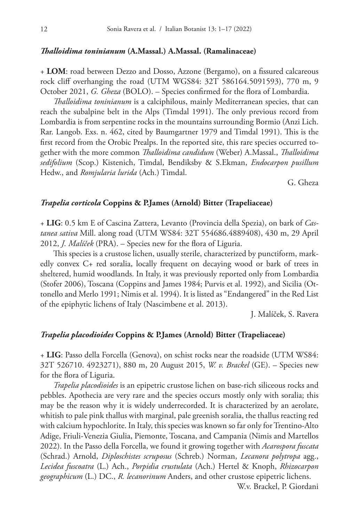#### *Thalloidima toninianum* **(A.Massal.) A.Massal. (Ramalinaceae)**

+ **LOM**: road between Dezzo and Dosso, Azzone (Bergamo), on a fissured calcareous rock cliff overhanging the road (UTM WGS84: 32T 586164.5091593), 770 m, 9 October 2021, *G. Gheza* (BOLO). – Species confirmed for the flora of Lombardia.

*Thalloidima toninianum* is a calciphilous, mainly Mediterranean species, that can reach the subalpine belt in the Alps (Timdal 1991). The only previous record from Lombardia is from serpentine rocks in the mountains surrounding Bormio (Anzi Lich. Rar. Langob. Exs. n. 462, cited by Baumgartner 1979 and Timdal 1991). This is the first record from the Orobic Prealps. In the reported site, this rare species occurred together with the more common *Thalloidima candidum* (Weber) A.Massal., *Thalloidima sedifolium* (Scop.) Kistenich, Timdal, Bendiksby & S.Ekman, *Endocarpon pusillum* Hedw., and *Romjularia lurida* (Ach.) Timdal.

G. Gheza

#### *Trapelia corticola* **Coppins & P.James (Arnold) Bitter (Trapeliaceae)**

+ **LIG**: 0.5 km E of Cascina Zattera, Levanto (Provincia della Spezia), on bark of *Castanea sativa* Mill. along road (UTM WS84: 32T 554686.4889408), 430 m, 29 April 2012, *J. Malíček* (PRA). – Species new for the flora of Liguria.

This species is a crustose lichen, usually sterile, characterized by punctiform, markedly convex C+ red soralia, locally frequent on decaying wood or bark of trees in sheltered, humid woodlands. In Italy, it was previously reported only from Lombardia (Stofer 2006), Toscana (Coppins and James 1984; Purvis et al. 1992), and Sicilia (Ottonello and Merlo 1991; Nimis et al. 1994). It is listed as "Endangered" in the Red List of the epiphytic lichens of Italy (Nascimbene et al. 2013).

J. Malíček, S. Ravera

#### *Trapelia placodioides* **Coppins & P.James (Arnold) Bitter (Trapeliaceae)**

+ **LIG**: Passo della Forcella (Genova), on schist rocks near the roadside (UTM WS84: 32T 526710. 4923271), 880 m, 20 August 2015, *W. v. Brackel* (GE). – Species new for the flora of Liguria.

*Trapelia placodioides* is an epipetric crustose lichen on base-rich siliceous rocks and pebbles. Apothecia are very rare and the species occurs mostly only with soralia; this may be the reason why it is widely underrecorded. It is characterized by an aerolate, whitish to pale pink thallus with marginal, pale greenish soralia, the thallus reacting red with calcium hypochlorite. In Italy, this species was known so far only for Trentino-Alto Adige, Friuli-Venezia Giulia, Piemonte, Toscana, and Campania (Nimis and Martellos 2022). In the Passo della Forcella, we found it growing together with *Acarospora fuscata* (Schrad.) Arnold, *Diploschistes scruposus* (Schreb.) Norman, *Lecanora polytropa* agg., *Lecidea fuscoatra* (L.) Ach., *Porpidia crustulata* (Ach.) Hertel & Knoph, *Rhizocarpon geographicum* (L.) DC., *R. lecanorinum* Anders, and other crustose epipetric lichens.

W.v. Brackel, P. Giordani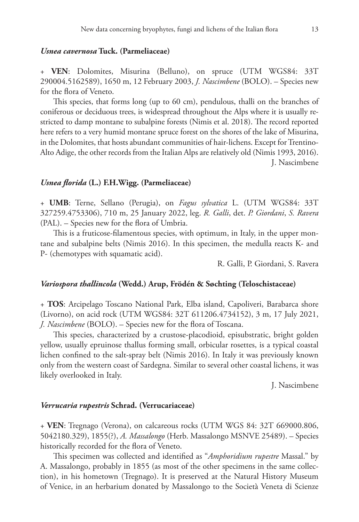#### *Usnea cavernosa* **Tuck. (Parmeliaceae)**

+ **VEN**: Dolomites, Misurina (Belluno), on spruce (UTM WGS84: 33T 290004.5162589), 1650 m, 12 February 2003, *J. Nascimbene* (BOLO). – Species new for the flora of Veneto.

This species, that forms long (up to 60 cm), pendulous, thalli on the branches of coniferous or deciduous trees, is widespread throughout the Alps where it is usually restricted to damp montane to subalpine forests (Nimis et al. 2018). The record reported here refers to a very humid montane spruce forest on the shores of the lake of Misurina, in the Dolomites, that hosts abundant communities of hair-lichens. Except for Trentino-Alto Adige, the other records from the Italian Alps are relatively old (Nimis 1993, 2016). J. Nascimbene

#### *Usnea florida* **(L.) F.H.Wigg. (Parmeliaceae)**

+ **UMB**: Terne, Sellano (Perugia), on *Fagus sylvatica* L. (UTM WGS84: 33T 327259.4753306), 710 m, 25 January 2022, leg. *R. Galli*, det. *P. Giordani*, *S. Ravera* (PAL). – Species new for the flora of Umbria.

This is a fruticose-filamentous species, with optimum, in Italy, in the upper montane and subalpine belts (Nimis 2016). In this specimen, the medulla reacts K- and P- (chemotypes with squamatic acid).

R. Galli, P. Giordani, S. Ravera

#### *Variospora thallincola* **(Wedd.) Arup, Frödén & Søchting (Teloschistaceae)**

+ **TOS**: Arcipelago Toscano National Park, Elba island, Capoliveri, Barabarca shore (Livorno), on acid rock (UTM WGS84: 32T 611206.4734152), 3 m, 17 July 2021, *J. Nascimbene* (BOLO). – Species new for the flora of Toscana.

This species, characterized by a crustose-placodioid, episubstratic, bright golden yellow, usually epruinose thallus forming small, orbicular rosettes, is a typical coastal lichen confined to the salt-spray belt (Nimis 2016). In Italy it was previously known only from the western coast of Sardegna. Similar to several other coastal lichens, it was likely overlooked in Italy.

J. Nascimbene

#### *Verrucaria rupestris* **Schrad. (Verrucariaceae)**

+ **VEN**: Tregnago (Verona), on calcareous rocks (UTM WGS 84: 32T 669000.806, 5042180.329), 1855(?), *A. Massalongo* (Herb. Massalongo MSNVE 25489). – Species historically recorded for the flora of Veneto.

This specimen was collected and identified as "*Amphoridium rupestre* Massal." by A. Massalongo, probably in 1855 (as most of the other specimens in the same collection), in his hometown (Tregnago). It is preserved at the Natural History Museum of Venice, in an herbarium donated by Massalongo to the Società Veneta di Scienze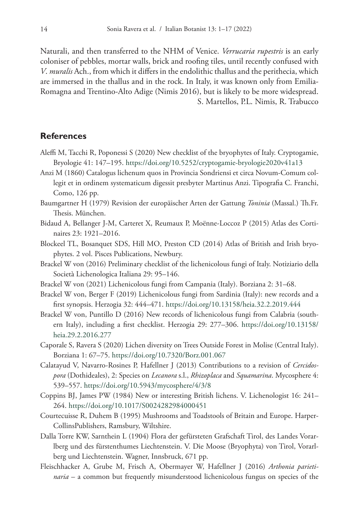Naturali, and then transferred to the NHM of Venice. *Verrucaria rupestris* is an early coloniser of pebbles, mortar walls, brick and roofing tiles, until recently confused with *V*. *muralis* Ach., from which it differs in the endolithic thallus and the perithecia, which are immersed in the thallus and in the rock. In Italy, it was known only from Emilia-Romagna and Trentino-Alto Adige (Nimis 2016), but is likely to be more widespread. S. Martellos, P.L. Nimis, R. Trabucco

# **References**

- Aleffi M, Tacchi R, Poponessi S (2020) New checklist of the bryophytes of Italy. Cryptogamie, Bryologie 41: 147–195. <https://doi.org/10.5252/cryptogamie-bryologie2020v41a13>
- Anzi M (1860) Catalogus lichenum quos in Provincia Sondriensi et circa Novum-Comum collegit et in ordinem systematicum digessit presbyter Martinus Anzi. Tipografia C. Franchi, Como, 126 pp.
- Baumgartner H (1979) Revision der europäischer Arten der Gattung *Toninia* (Massal.) Th.Fr. Thesis. München.
- Bidaud A, Bellanger J-M, Carteret X, Reumaux P, Moënne-Loccoz P (2015) Atlas des Cortinaires 23: 1921–2016.
- Blockeel TL, Bosanquet SDS, Hill MO, Preston CD (2014) Atlas of British and Irish bryophytes. 2 vol. Pisces Publications, Newbury.
- Brackel W von (2016) Preliminary checklist of the lichenicolous fungi of Italy. Notiziario della Società Lichenologica Italiana 29: 95–146.
- Brackel W von (2021) Lichenicolous fungi from Campania (Italy). Borziana 2: 31–68.
- Brackel W von, Berger F (2019) Lichenicolous fungi from Sardinia (Italy): new records and a first synopsis. Herzogia 32: 444–471. <https://doi.org/10.13158/heia.32.2.2019.444>
- Brackel W von, Puntillo D (2016) New records of lichenicolous fungi from Calabria (southern Italy), including a first checklist. Herzogia 29: 277–306. [https://doi.org/10.13158/](https://doi.org/10.13158/heia.29.2.2016.277) [heia.29.2.2016.277](https://doi.org/10.13158/heia.29.2.2016.277)
- Caporale S, Ravera S (2020) Lichen diversity on Trees Outside Forest in Molise (Central Italy). Borziana 1: 67–75. <https://doi.org/10.7320/Borz.001.067>
- Calatayud V, Navarro-Rosines P, Hafellner J (2013) Contributions to a revision of *Cercidospora* (Dothideales), 2: Species on *Lecanora* s.l., *Rhizoplaca* and *Squamarina*. Mycosphere 4: 539–557.<https://doi.org/10.5943/mycosphere/4/3/8>
- Coppins BJ, James PW (1984) New or interesting British lichens. V. Lichenologist 16: 241– 264.<https://doi.org/10.1017/S0024282984000451>
- Courtecuisse R, Duhem B (1995) Mushrooms and Toadstools of Britain and Europe. Harper-CollinsPublishers, Ramsbury, Wiltshire.
- Dalla Torre KW, Sarnthein L (1904) Flora der gefürsteten Grafschaft Tirol, des Landes Vorarlberg und des fürstenthumes Liechtenstein. V. Die Moose (Bryophyta) von Tirol, Vorarlberg und Liechtenstein. Wagner, Innsbruck, 671 pp.
- Fleischhacker A, Grube M, Frisch A, Obermayer W, Hafellner J (2016) *Arthonia parietinaria* – a common but frequently misunderstood lichenicolous fungus on species of the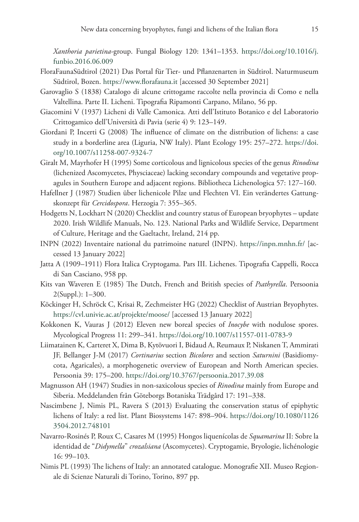*Xanthoria parietina*-group. Fungal Biology 120: 1341–1353. [https://doi.org/10.1016/j.](https://doi.org/10.1016/j.funbio.2016.06.009) [funbio.2016.06.009](https://doi.org/10.1016/j.funbio.2016.06.009)

- FloraFaunaSüdtirol (2021) Das Portal für Tier- und Pflanzenarten in Südtirol. Naturmuseum Südtirol, Bozen.<https://www.florafauna.it> [accessed 30 September 2021]
- Garovaglio S (1838) Catalogo di alcune crittogame raccolte nella provincia di Como e nella Valtellina. Parte II. Licheni. Tipografia Ripamonti Carpano, Milano, 56 pp.
- Giacomini V (1937) Licheni di Valle Camonica. Atti dell'Istituto Botanico e del Laboratorio Crittogamico dell'Università di Pavia (serie 4) 9: 123–149.
- Giordani P, Incerti G (2008) The influence of climate on the distribution of lichens: a case study in a borderline area (Liguria, NW Italy). Plant Ecology 195: 257–272. [https://doi.](https://doi.org/10.1007/s11258-007-9324-7) [org/10.1007/s11258-007-9324-7](https://doi.org/10.1007/s11258-007-9324-7)
- Giralt M, Mayrhofer H (1995) Some corticolous and lignicolous species of the genus *Rinodina* (lichenized Ascomycetes, Physciaceae) lacking secondary compounds and vegetative propagules in Southern Europe and adjacent regions. Bibliotheca Lichenologica 57: 127–160.
- Hafellner J (1987) Studien über lichenicole Pilze und Flechten VI. Ein verändertes Gattungskonzept für *Cercidospora*. Herzogia 7: 355–365.
- Hodgetts N, Lockhart N (2020) Checklist and country status of European bryophytes update 2020. Irish Wildlife Manuals, No. 123. National Parks and Wildlife Service, Department of Culture, Heritage and the Gaeltacht, Ireland, 214 pp.
- INPN (2022) Inventaire national du patrimoine naturel (INPN). <https://inpn.mnhn.fr/>[accessed 13 January 2022]
- Jatta A (1909–1911) Flora Italica Cryptogama. Pars III. Lichenes. Tipografia Cappelli, Rocca di San Casciano, 958 pp.
- Kits van Waveren E (1985) The Dutch, French and British species of *Psathyrella*. Persoonia 2(Suppl.): 1–300.
- Köckinger H, Schröck C, Krisai R, Zechmeister HG (2022) Checklist of Austrian Bryophytes. <https://cvl.univie.ac.at/projekte/moose/> [accessed 13 January 2022]
- Kokkonen K, Vauras J (2012) Eleven new boreal species of *Inocybe* with nodulose spores. Mycological Progress 11: 299–341. <https://doi.org/10.1007/s11557-011-0783-9>
- Liimatainen K, Carteret X, Dima B, Kytövuori I, Bidaud A, Reumaux P, Niskanen T, Ammirati JF, Bellanger J-M (2017) *Cortinarius* section *Bicolores* and section *Saturnini* (Basidiomycota, Agaricales), a morphogenetic overview of European and North American species. Persoonia 39: 175–200. <https://doi.org/10.3767/persoonia.2017.39.08>
- Magnusson AH (1947) Studies in non-saxicolous species of *Rinodina* mainly from Europe and Siberia. Meddelanden från Göteborgs Botaniska Trädgård 17: 191–338.
- Nascimbene J, Nimis PL, Ravera S (2013) Evaluating the conservation status of epiphytic lichens of Italy: a red list. Plant Biosystems 147: 898–904. [https://doi.org/10.1080/1126](https://doi.org/10.1080/11263504.2012.748101) [3504.2012.748101](https://doi.org/10.1080/11263504.2012.748101)
- Navarro-Rosinés P, Roux C, Casares M (1995) Hongos liquenícolas de *Squamarina* II: Sobre la identidad de "*Didymella*" *crozalsiana* (Ascomycetes). Cryptogamie, Bryologie, lichénologie 16: 99–103.
- Nimis PL (1993) The lichens of Italy: an annotated catalogue. Monografie XII. Museo Regionale di Scienze Naturali di Torino, Torino, 897 pp.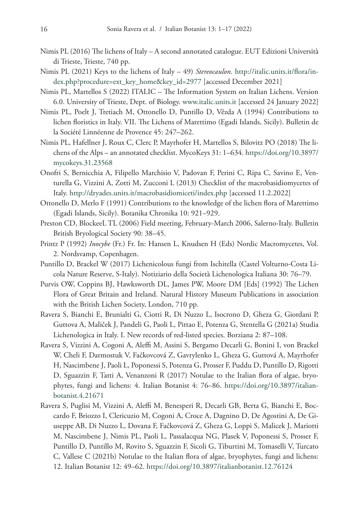- Nimis PL (2016) The lichens of Italy A second annotated catalogue. EUT Edizioni Università di Trieste, Trieste, 740 pp.
- Nimis PL (2021) Keys to the lichens of Italy 49) *Stereocaulon*. [http://italic.units.it/flora/in](http://italic.units.it/flora/index.php?procedure=ext_key_home&key_id=2977)[dex.php?procedure=ext\\_key\\_home&key\\_id=2977](http://italic.units.it/flora/index.php?procedure=ext_key_home&key_id=2977) [accessed December 2021]
- Nimis PL, Martellos S (2022) ITALIC The Information System on Italian Lichens. Version 6.0. University of Trieste, Dept. of Biology. www.italic.units.it [accessed 24 January 2022]
- Nimis PL, Poelt J, Tretiach M, Ottonello D, Puntillo D, Vězda A (1994) Contributions to lichen floristics in Italy. VII. The Lichens of Marettimo (Egadi Islands, Sicily). Bulletin de la Société Linnéenne de Provence 45: 247–262.
- Nimis PL, Hafellner J, Roux C, Clerc P, Mayrhofer H, Martellos S, Bilovitz PO (2018) The lichens of the Alps – an annotated checklist. MycoKeys 31: 1–634. [https://doi.org/10.3897/](https://doi.org/10.3897/mycokeys.31.23568) [mycokeys.31.23568](https://doi.org/10.3897/mycokeys.31.23568)
- Onofri S, Bernicchia A, Filipello Marchisio V, Padovan F, Perini C, Ripa C, Savino E, Venturella G, Vizzini A, Zotti M, Zucconi L (2013) Checklist of the macrobasidiomycetes of Italy. <http://dryades.units.it/macrobasidiomiceti/index.php> [accessed 11.2.2022]
- Ottonello D, Merlo F (1991) Contributions to the knowledge of the lichen flora of Marettimo (Egadi Islands, Sicily). Botanika Chronika 10: 921–929.
- Preston CD, BlockeeL TL (2006) Field meeting, February-March 2006, Salerno-Italy. Bulletin British Bryological Society 90: 38–45.
- Printz P (1992) *Inocybe* (Fr.) Fr. In: Hansen L, Knudsen H (Eds) Nordic Macromycetes, Vol. 2. Nordsvamp, Copenhagen.
- Puntillo D, Brackel W (2017) Lichenicolous fungi from Ischitella (Castel Volturno-Costa Licola Nature Reserve, S-Italy). Notiziario della Società Lichenologica Italiana 30: 76–79.
- Purvis OW, Coppins BJ, Hawksworth DL, James PW, Moore DM [Eds] (1992) The Lichen Flora of Great Britain and Ireland. Natural History Museum Publications in association with the British Lichen Society, London, 710 pp.
- Ravera S, Bianchi E, Brunialti G, Ciotti R, Di Nuzzo L, Isocrono D, Gheza G, Giordani P, Guttova A, Maliček J, Pandeli G, Paoli L, Pittao E, Potenza G, Stentella G (2021a) Studia Lichenologica in Italy. I. New records of red-listed species. Borziana 2: 87–108.
- Ravera S, Vizzini A, Cogoni A, Aleffi M, Assini S, Bergamo Decarli G, Bonini I, von Brackel W, Cheli F, Darmostuk V, Fačkovcová Z, Gavrylenko L, Gheza G, Guttová A, Mayrhofer H, Nascimbene J, Paoli L, Poponessi S, Potenza G, Prosser F, Puddu D, Puntillo D, Rigotti D, Sguazzin F, Tatti A, Venanzoni R (2017) Notulae to the Italian flora of algae, bryophytes, fungi and lichens: 4. Italian Botanist 4: 76–86. [https://doi.org/10.3897/italian](https://doi.org/10.3897/italianbotanist.4.21671)[botanist.4.21671](https://doi.org/10.3897/italianbotanist.4.21671)
- Ravera S, Puglisi M, Vizzini A, Aleffi M, Benesperi R, Decarli GB, Berta G, Bianchi E, Boccardo F, Briozzo I, Clericuzio M, Cogoni A, Croce A, Dagnino D, De Agostini A, De Giuseppe AB, Di Nuzzo L, Dovana F, Fačkovcová Z, Gheza G, Loppi S, Malicek J, Mariotti M, Nascimbene J, Nimis PL, Paoli L, Passalacqua NG, Plasek V, Poponessi S, Prosser F, Puntillo D, Puntillo M, Rovito S, Sguazzin F, Sicoli G, Tiburtini M, Tomaselli V, Turcato C, Vallese C (2021b) Notulae to the Italian flora of algae, bryophytes, fungi and lichens: 12. Italian Botanist 12: 49–62.<https://doi.org/10.3897/italianbotanist.12.76124>